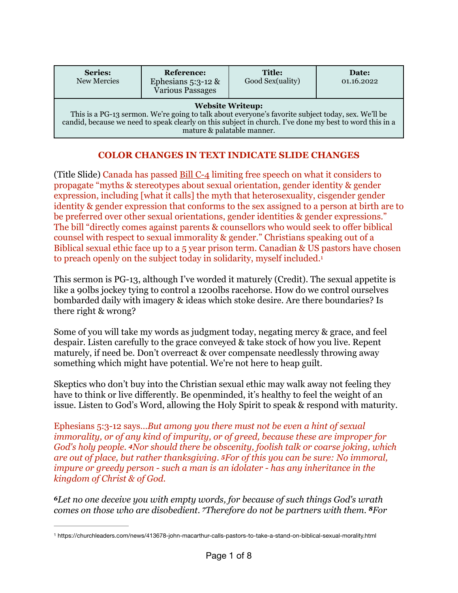| <b>Series:</b><br>New Mercies                                                                                                                                                                                                                                          | Reference:<br>Ephesians $5:3-12$ &<br>Various Passages | <b>Title:</b><br>Good Sex(uality) | Date:<br>01.16.2022 |
|------------------------------------------------------------------------------------------------------------------------------------------------------------------------------------------------------------------------------------------------------------------------|--------------------------------------------------------|-----------------------------------|---------------------|
| <b>Website Writeup:</b><br>This is a PG-13 sermon. We're going to talk about everyone's favorite subject today, sex. We'll be<br>candid, because we need to speak clearly on this subject in church. I've done my best to word this in a<br>mature & palatable manner. |                                                        |                                   |                     |

## <span id="page-0-1"></span>**COLOR CHANGES IN TEXT INDICATE SLIDE CHANGES**

(Title Slide) Canada has passed [Bill C-4](https://www.parl.ca/DocumentViewer/en/44-1/bill/C-4/first-reading) limiting free speech on what it considers to propagate "myths & stereotypes about sexual orientation, gender identity & gender expression, including [what it calls] the myth that heterosexuality, cisgender gender identity & gender expression that conforms to the sex assigned to a person at birth are to be preferred over other sexual orientations, gender identities & gender expressions." The bill "directly comes against parents & counsellors who would seek to offer biblical counsel with respect to sexual immorality & gender." Christians speaking out of a Biblical sexual ethic face up to a 5 year prison term. Canadian & US pastors have chosen to preach openly on the subject today in solidarity, myself included.[1](#page-0-0)

This sermon is PG-13, although I've worded it maturely (Credit). The sexual appetite is like a 90lbs jockey tying to control a 1200lbs racehorse. How do we control ourselves bombarded daily with imagery & ideas which stoke desire. Are there boundaries? Is there right & wrong?

Some of you will take my words as judgment today, negating mercy & grace, and feel despair. Listen carefully to the grace conveyed & take stock of how you live. Repent maturely, if need be. Don't overreact & over compensate needlessly throwing away something which might have potential. We're not here to heap guilt.

Skeptics who don't buy into the Christian sexual ethic may walk away not feeling they have to think or live differently. Be openminded, it's healthy to feel the weight of an issue. Listen to God's Word, allowing the Holy Spirit to speak & respond with maturity.

Ephesians 5:3-12 says…*But among you there must not be even a hint of sexual immorality, or of any kind of impurity, or of greed, because these are improper for God's holy people. 4Nor should there be obscenity, foolish talk or coarse joking, which are out of place, but rather thanksgiving. 5For of this you can be sure: No immoral, impure or greedy person - such a man is an idolater - has any inheritance in the kingdom of Christ & of God.* 

*<sup>6</sup>Let no one deceive you with empty words, for because of such things God's wrath comes on those who are disobedient. 7Therefore do not be partners with them. 8For* 

<span id="page-0-0"></span>https://churchleaders.com/news/413678-john-macarthur-calls-pastors-to-take-a-stand-on-biblical-sexual-morality.html [1](#page-0-1)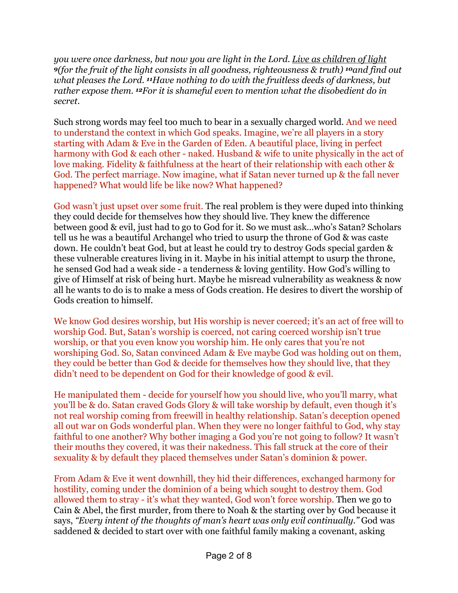*you were once darkness, but now you are light in the Lord. Live as children of light <sup>9</sup>(for the fruit of the light consists in all goodness, righteousness & truth) 10and find out what pleases the Lord. 11Have nothing to do with the fruitless deeds of darkness, but rather expose them. 12For it is shameful even to mention what the disobedient do in secret.*

Such strong words may feel too much to bear in a sexually charged world. And we need to understand the context in which God speaks. Imagine, we're all players in a story starting with Adam & Eve in the Garden of Eden. A beautiful place, living in perfect harmony with God & each other - naked. Husband & wife to unite physically in the act of love making. Fidelity & faithfulness at the heart of their relationship with each other & God. The perfect marriage. Now imagine, what if Satan never turned up & the fall never happened? What would life be like now? What happened?

God wasn't just upset over some fruit. The real problem is they were duped into thinking they could decide for themselves how they should live. They knew the difference between good & evil, just had to go to God for it. So we must ask…who's Satan? Scholars tell us he was a beautiful Archangel who tried to usurp the throne of God & was caste down. He couldn't beat God, but at least he could try to destroy Gods special garden & these vulnerable creatures living in it. Maybe in his initial attempt to usurp the throne, he sensed God had a weak side - a tenderness & loving gentility. How God's willing to give of Himself at risk of being hurt. Maybe he misread vulnerability as weakness & now all he wants to do is to make a mess of Gods creation. He desires to divert the worship of Gods creation to himself.

We know God desires worship, but His worship is never coerced; it's an act of free will to worship God. But, Satan's worship is coerced, not caring coerced worship isn't true worship, or that you even know you worship him. He only cares that you're not worshiping God. So, Satan convinced Adam & Eve maybe God was holding out on them, they could be better than God & decide for themselves how they should live, that they didn't need to be dependent on God for their knowledge of good & evil.

He manipulated them - decide for yourself how you should live, who you'll marry, what you'll be & do. Satan craved Gods Glory & will take worship by default, even though it's not real worship coming from freewill in healthy relationship. Satan's deception opened all out war on Gods wonderful plan. When they were no longer faithful to God, why stay faithful to one another? Why bother imaging a God you're not going to follow? It wasn't their mouths they covered, it was their nakedness. This fall struck at the core of their sexuality & by default they placed themselves under Satan's dominion & power.

From Adam & Eve it went downhill, they hid their differences, exchanged harmony for hostility, coming under the dominion of a being which sought to destroy them. God allowed them to stray - it's what they wanted, God won't force worship. Then we go to Cain & Abel, the first murder, from there to Noah & the starting over by God because it says, *"Every intent of the thoughts of man's heart was only evil continually."* God was saddened & decided to start over with one faithful family making a covenant, asking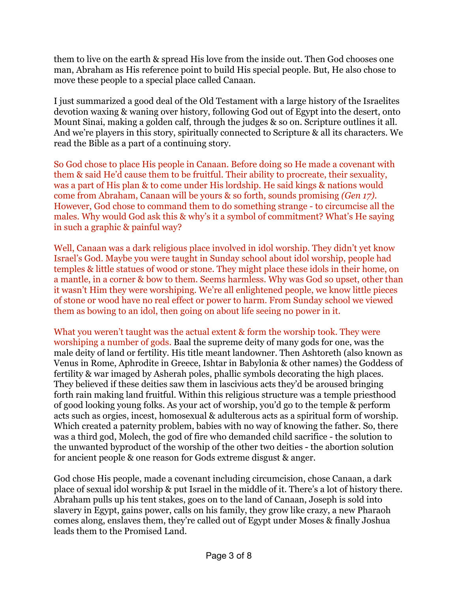them to live on the earth & spread His love from the inside out. Then God chooses one man, Abraham as His reference point to build His special people. But, He also chose to move these people to a special place called Canaan.

I just summarized a good deal of the Old Testament with a large history of the Israelites devotion waxing & waning over history, following God out of Egypt into the desert, onto Mount Sinai, making a golden calf, through the judges & so on. Scripture outlines it all. And we're players in this story, spiritually connected to Scripture & all its characters. We read the Bible as a part of a continuing story.

So God chose to place His people in Canaan. Before doing so He made a covenant with them & said He'd cause them to be fruitful. Their ability to procreate, their sexuality, was a part of His plan & to come under His lordship. He said kings & nations would come from Abraham, Canaan will be yours & so forth, sounds promising *(Gen 17)*. However, God chose to command them to do something strange - to circumcise all the males. Why would God ask this & why's it a symbol of commitment? What's He saying in such a graphic & painful way?

Well, Canaan was a dark religious place involved in idol worship. They didn't yet know Israel's God. Maybe you were taught in Sunday school about idol worship, people had temples & little statues of wood or stone. They might place these idols in their home, on a mantle, in a corner & bow to them. Seems harmless. Why was God so upset, other than it wasn't Him they were worshiping. We're all enlightened people, we know little pieces of stone or wood have no real effect or power to harm. From Sunday school we viewed them as bowing to an idol, then going on about life seeing no power in it.

What you weren't taught was the actual extent & form the worship took. They were worshiping a number of gods. Baal the supreme deity of many gods for one, was the male deity of land or fertility. His title meant landowner. Then Ashtoreth (also known as Venus in Rome, Aphrodite in Greece, Ishtar in Babylonia & other names) the Goddess of fertility & war imaged by Asherah poles, phallic symbols decorating the high places. They believed if these deities saw them in lascivious acts they'd be aroused bringing forth rain making land fruitful. Within this religious structure was a temple priesthood of good looking young folks. As your act of worship, you'd go to the temple & perform acts such as orgies, incest, homosexual & adulterous acts as a spiritual form of worship. Which created a paternity problem, babies with no way of knowing the father. So, there was a third god, Molech, the god of fire who demanded child sacrifice - the solution to the unwanted byproduct of the worship of the other two deities - the abortion solution for ancient people & one reason for Gods extreme disgust & anger.

God chose His people, made a covenant including circumcision, chose Canaan, a dark place of sexual idol worship & put Israel in the middle of it. There's a lot of history there. Abraham pulls up his tent stakes, goes on to the land of Canaan, Joseph is sold into slavery in Egypt, gains power, calls on his family, they grow like crazy, a new Pharaoh comes along, enslaves them, they're called out of Egypt under Moses & finally Joshua leads them to the Promised Land.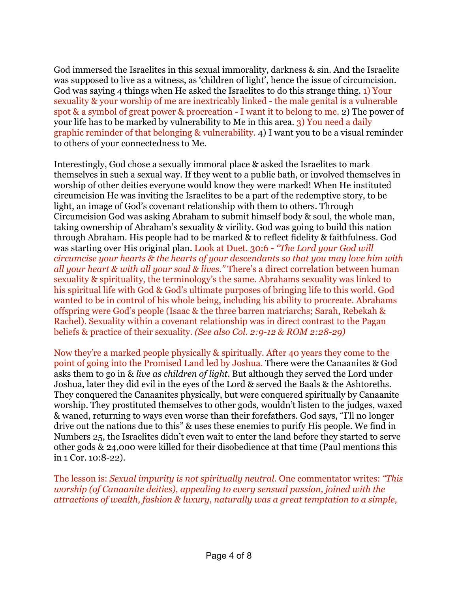God immersed the Israelites in this sexual immorality, darkness & sin. And the Israelite was supposed to live as a witness, as 'children of light', hence the issue of circumcision. God was saying 4 things when He asked the Israelites to do this strange thing. 1) Your sexuality & your worship of me are inextricably linked - the male genital is a vulnerable spot & a symbol of great power & procreation - I want it to belong to me. 2) The power of your life has to be marked by vulnerability to Me in this area. 3) You need a daily graphic reminder of that belonging & vulnerability. 4) I want you to be a visual reminder to others of your connectedness to Me.

Interestingly, God chose a sexually immoral place & asked the Israelites to mark themselves in such a sexual way. If they went to a public bath, or involved themselves in worship of other deities everyone would know they were marked! When He instituted circumcision He was inviting the Israelites to be a part of the redemptive story, to be light, an image of God's covenant relationship with them to others. Through Circumcision God was asking Abraham to submit himself body & soul, the whole man, taking ownership of Abraham's sexuality & virility. God was going to build this nation through Abraham. His people had to be marked & to reflect fidelity & faithfulness. God was starting over His original plan. Look at Duet. 30:6 - *"The Lord your God will circumcise your hearts & the hearts of your descendants so that you may love him with all your heart & with all your soul & lives."* There's a direct correlation between human sexuality & spirituality, the terminology's the same. Abrahams sexuality was linked to his spiritual life with God & God's ultimate purposes of bringing life to this world. God wanted to be in control of his whole being, including his ability to procreate. Abrahams offspring were God's people (Isaac & the three barren matriarchs; Sarah, Rebekah & Rachel). Sexuality within a covenant relationship was in direct contrast to the Pagan beliefs & practice of their sexuality. *(See also Col. 2:9-12 & ROM 2:28-29)*

Now they're a marked people physically & spiritually. After 40 years they come to the point of going into the Promised Land led by Joshua. There were the Canaanites & God asks them to go in & *live as children of light*. But although they served the Lord under Joshua, later they did evil in the eyes of the Lord & served the Baals & the Ashtoreths. They conquered the Canaanites physically, but were conquered spiritually by Canaanite worship. They prostituted themselves to other gods, wouldn't listen to the judges, waxed & waned, returning to ways even worse than their forefathers. God says, "I'll no longer drive out the nations due to this" & uses these enemies to purify His people. We find in Numbers 25, the Israelites didn't even wait to enter the land before they started to serve other gods & 24,000 were killed for their disobedience at that time (Paul mentions this in 1 Cor. 10:8-22).

The lesson is: *Sexual impurity is not spiritually neutral.* One commentator writes: *"This worship (of Canaanite deities), appealing to every sensual passion, joined with the attractions of wealth, fashion & luxury, naturally was a great temptation to a simple,*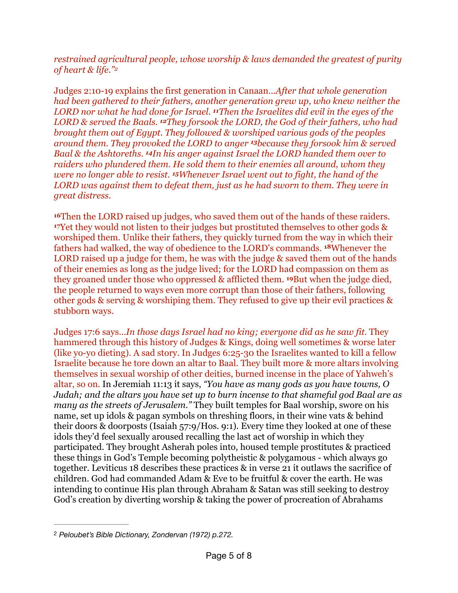<span id="page-4-1"></span>*restrained agricultural people, whose worship & laws demanded the greatest of purity of heart & life.["2](#page-4-0)*

Judges 2:10-19 explains the first generation in Canaan…*After that whole generation had been gathered to their fathers, another generation grew up, who knew neither the LORD nor what he had done for Israel. 11Then the Israelites did evil in the eyes of the LORD & served the Baals. 12They forsook the LORD, the God of their fathers, who had brought them out of Egypt. They followed & worshiped various gods of the peoples around them. They provoked the LORD to anger 13because they forsook him & served Baal & the Ashtoreths. 14In his anger against Israel the LORD handed them over to raiders who plundered them. He sold them to their enemies all around, whom they were no longer able to resist. 15Whenever Israel went out to fight, the hand of the LORD was against them to defeat them, just as he had sworn to them. They were in great distress.* 

**<sup>16</sup>**Then the LORD raised up judges, who saved them out of the hands of these raiders. **<sup>17</sup>**Yet they would not listen to their judges but prostituted themselves to other gods & worshiped them. Unlike their fathers, they quickly turned from the way in which their fathers had walked, the way of obedience to the LORD's commands. **18**Whenever the LORD raised up a judge for them, he was with the judge & saved them out of the hands of their enemies as long as the judge lived; for the LORD had compassion on them as they groaned under those who oppressed & afflicted them. **19**But when the judge died, the people returned to ways even more corrupt than those of their fathers, following other gods & serving & worshiping them. They refused to give up their evil practices & stubborn ways.

Judges 17:6 says…*In those days Israel had no king; everyone did as he saw fit.* They hammered through this history of Judges & Kings, doing well sometimes & worse later (like yo-yo dieting). A sad story. In Judges 6:25-30 the Israelites wanted to kill a fellow Israelite because he tore down an altar to Baal. They built more & more altars involving themselves in sexual worship of other deities, burned incense in the place of Yahweh's altar, so on. In Jeremiah 11:13 it says, *"You have as many gods as you have towns, O Judah; and the altars you have set up to burn incense to that shameful god Baal are as many as the streets of Jerusalem."* They built temples for Baal worship, swore on his name, set up idols & pagan symbols on threshing floors, in their wine vats & behind their doors & doorposts (Isaiah 57:9/Hos. 9:1). Every time they looked at one of these idols they'd feel sexually aroused recalling the last act of worship in which they participated. They brought Asherah poles into, housed temple prostitutes & practiced these things in God's Temple becoming polytheistic & polygamous - which always go together. Leviticus 18 describes these practices & in verse 21 it outlaws the sacrifice of children. God had commanded Adam & Eve to be fruitful & cover the earth. He was intending to continue His plan through Abraham & Satan was still seeking to destroy God's creation by diverting worship & taking the power of procreation of Abrahams

<span id="page-4-0"></span>*Peloubet's Bible Dictionary, Zondervan (1972) p.272.* [2](#page-4-1)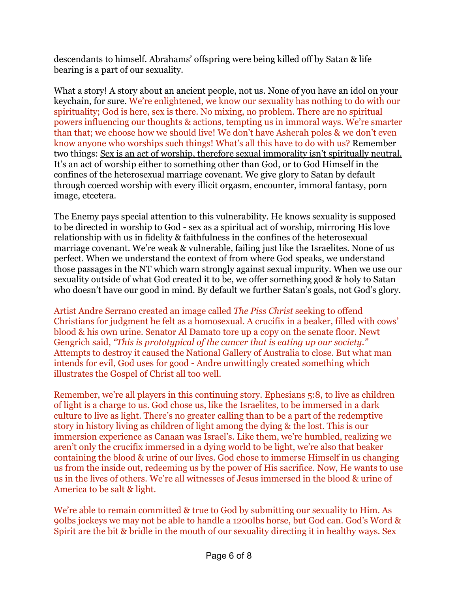descendants to himself. Abrahams' offspring were being killed off by Satan & life bearing is a part of our sexuality.

What a story! A story about an ancient people, not us. None of you have an idol on your keychain, for sure. We're enlightened, we know our sexuality has nothing to do with our spirituality; God is here, sex is there. No mixing, no problem. There are no spiritual powers influencing our thoughts & actions, tempting us in immoral ways. We're smarter than that; we choose how we should live! We don't have Asherah poles & we don't even know anyone who worships such things! What's all this have to do with us? Remember two things: Sex is an act of worship, therefore sexual immorality isn't spiritually neutral. It's an act of worship either to something other than God, or to God Himself in the confines of the heterosexual marriage covenant. We give glory to Satan by default through coerced worship with every illicit orgasm, encounter, immoral fantasy, porn image, etcetera.

The Enemy pays special attention to this vulnerability. He knows sexuality is supposed to be directed in worship to God - sex as a spiritual act of worship, mirroring His love relationship with us in fidelity & faithfulness in the confines of the heterosexual marriage covenant. We're weak & vulnerable, failing just like the Israelites. None of us perfect. When we understand the context of from where God speaks, we understand those passages in the NT which warn strongly against sexual impurity. When we use our sexuality outside of what God created it to be, we offer something good & holy to Satan who doesn't have our good in mind. By default we further Satan's goals, not God's glory.

Artist Andre Serrano created an image called *The Piss Christ* seeking to offend Christians for judgment he felt as a homosexual. A crucifix in a beaker, filled with cows' blood & his own urine. Senator Al Damato tore up a copy on the senate floor. Newt Gengrich said, *"This is prototypical of the cancer that is eating up our society."* Attempts to destroy it caused the National Gallery of Australia to close. But what man intends for evil, God uses for good - Andre unwittingly created something which illustrates the Gospel of Christ all too well.

Remember, we're all players in this continuing story. Ephesians 5:8, to live as children of light is a charge to us. God chose us, like the Israelites, to be immersed in a dark culture to live as light. There's no greater calling than to be a part of the redemptive story in history living as children of light among the dying & the lost. This is our immersion experience as Canaan was Israel's. Like them, we're humbled, realizing we aren't only the crucifix immersed in a dying world to be light, we're also that beaker containing the blood & urine of our lives. God chose to immerse Himself in us changing us from the inside out, redeeming us by the power of His sacrifice. Now, He wants to use us in the lives of others. We're all witnesses of Jesus immersed in the blood & urine of America to be salt & light.

We're able to remain committed & true to God by submitting our sexuality to Him. As 90lbs jockeys we may not be able to handle a 1200lbs horse, but God can. God's Word & Spirit are the bit & bridle in the mouth of our sexuality directing it in healthy ways. Sex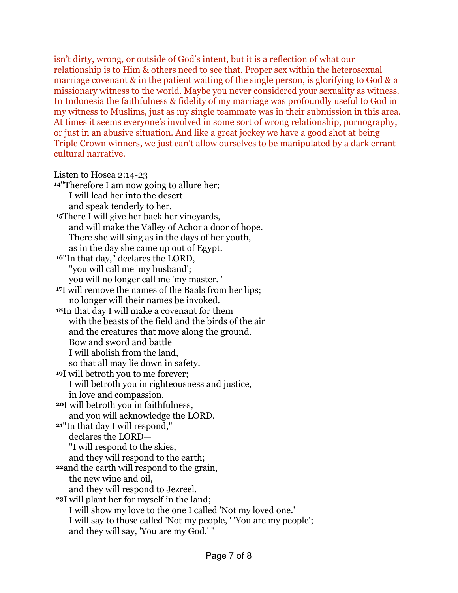isn't dirty, wrong, or outside of God's intent, but it is a reflection of what our relationship is to Him & others need to see that. Proper sex within the heterosexual marriage covenant & in the patient waiting of the single person, is glorifying to God & a missionary witness to the world. Maybe you never considered your sexuality as witness. In Indonesia the faithfulness & fidelity of my marriage was profoundly useful to God in my witness to Muslims, just as my single teammate was in their submission in this area. At times it seems everyone's involved in some sort of wrong relationship, pornography, or just in an abusive situation. And like a great jockey we have a good shot at being Triple Crown winners, we just can't allow ourselves to be manipulated by a dark errant cultural narrative.

## Listen to Hosea 2:14-23

**<sup>14</sup>**"Therefore I am now going to allure her; I will lead her into the desert and speak tenderly to her. **<sup>15</sup>**There I will give her back her vineyards, and will make the Valley of Achor a door of hope. There she will sing as in the days of her youth, as in the day she came up out of Egypt. **<sup>16</sup>**"In that day," declares the LORD, "you will call me 'my husband'; you will no longer call me 'my master. ' **<sup>17</sup>**I will remove the names of the Baals from her lips; no longer will their names be invoked. **<sup>18</sup>**In that day I will make a covenant for them with the beasts of the field and the birds of the air and the creatures that move along the ground. Bow and sword and battle I will abolish from the land, so that all may lie down in safety. **<sup>19</sup>**I will betroth you to me forever; I will betroth you in righteousness and justice, in love and compassion. **<sup>20</sup>**I will betroth you in faithfulness, and you will acknowledge the LORD. **<sup>21</sup>**"In that day I will respond," declares the LORD— "I will respond to the skies, and they will respond to the earth; **<sup>22</sup>**and the earth will respond to the grain, the new wine and oil, and they will respond to Jezreel. **<sup>23</sup>**I will plant her for myself in the land; I will show my love to the one I called 'Not my loved one.' I will say to those called 'Not my people, ' 'You are my people'; and they will say, 'You are my God.' "